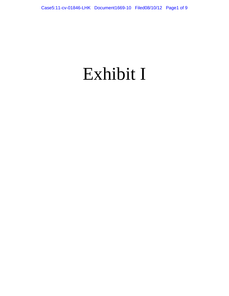# Exhibit I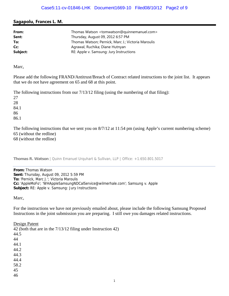## **Sagapolu, Frances L. M.**

| From:    | Thomas Watson <tomwatson@quinnemanuel.com></tomwatson@quinnemanuel.com> |
|----------|-------------------------------------------------------------------------|
| Sent:    | Thursday, August 09, 2012 6:57 PM                                       |
| To:      | Thomas Watson; Pernick, Marc J.; Victoria Maroulis                      |
| Cc:      | Agrawal, Ruchika; Diane Hutnyan                                         |
| Subject: | RE: Apple v. Samsung: Jury Instructions                                 |

Marc,

Please add the following FRAND/Antitrust/Breach of Contract related instructions to the joint list. It appears that we do not have agreement on 65 and 68 at this point.

The following instructions from our 7/13/12 filing (using the numbering of that filing):

27 28

84.1 86

86.1

The following instructions that we sent you on 8/7/12 at 11:54 pm (using Apple's current numbering scheme) 65 (without the redline) 68 (without the redline)

**Thomas R. Watson** | Quinn Emanuel Urquhart & Sullivan, LLP | Office: +1.650.801.5017

**From:** Thomas Watson **Sent:** Thursday, August 09, 2012 5:59 PM **To:** 'Pernick, Marc J.'; Victoria Maroulis **Cc:** 'AppleMoFo'; 'WHAppleSamsungNDCalService@wilmerhale.com'; Samsung v. Apple **Subject:** RE: Apple v. Samsung: Jury Instructions

Marc,

For the instructions we have not previously emailed about, please include the following Samsung Proposed Instructions in the joint submission you are preparing. I still owe you damages related instructions.

Design Patent

42 (both that are in the 7/13/12 filing under Instruction 42) 44.5 44 44.1 44.2 44.3 44.4 58.2 45 46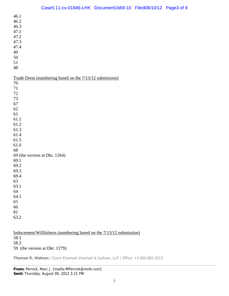| 46.1                                                    |
|---------------------------------------------------------|
| 46.2                                                    |
| 46.3                                                    |
| 47.1                                                    |
| 47.2                                                    |
| 47.3                                                    |
| 47.4                                                    |
| 49                                                      |
| 50                                                      |
| 51                                                      |
| $\sqrt{48}$                                             |
|                                                         |
| Trade Dress (numbering based on the 7/13/12 submission) |
| 70                                                      |
| 71                                                      |
| $72\,$                                                  |
| 73                                                      |
| 67                                                      |
| 62                                                      |
| 61                                                      |
| 61.1                                                    |
| 61.2                                                    |
| 61.3                                                    |
| 61.4                                                    |
| 61.5                                                    |
| 61.6                                                    |
| 68                                                      |
| 69 (the version at Dkt. 1264)                           |
| 69.1                                                    |
| 69.2                                                    |
| 69.3                                                    |
| 69.4                                                    |
| 63                                                      |
| 63.1                                                    |
| 64                                                      |
| 64.1                                                    |
| 65                                                      |
| 66                                                      |
| 81                                                      |
| 63.2                                                    |
|                                                         |

| Inducement/Willfulness (numbering based on the 7/13/12 submission) |  |
|--------------------------------------------------------------------|--|
| 58.1                                                               |  |
| 58.2                                                               |  |
| 59 (the version at Dkt. 1279)                                      |  |

**Thomas R. Watson** | Quinn Emanuel Urquhart & Sullivan, LLP | Office: +1.650.801.5017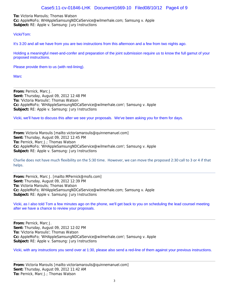**To:** Victoria Maroulis; Thomas Watson **Cc:** AppleMoFo; WHAppleSamsungNDCalService@wilmerhale.com; Samsung v. Apple **Subject:** RE: Apple v. Samsung: Jury Instructions

#### Vicki/Tom:

It's 3:20 and all we have from you are two instructions from this afternoon and a few from two nights ago.

Holding a meaningful meet-and-confer and preparation of the joint submission require us to know the full gamut of your proposed instructions.

Please provide them to us (with red-lining).

**Marc** 

**From:** Pernick, Marc J. **Sent:** Thursday, August 09, 2012 12:48 PM **To:** 'Victoria Maroulis'; Thomas Watson **Cc:** AppleMoFo; 'WHAppleSamsungNDCalService@wilmerhale.com'; Samsung v. Apple **Subject:** RE: Apple v. Samsung: Jury Instructions

Vicki, we'll have to discuss this after we see your proposals. We've been asking you for them for days.

**From:** Victoria Maroulis [mailto:victoriamaroulis@quinnemanuel.com] **Sent:** Thursday, August 09, 2012 12:45 PM **To:** Pernick, Marc J.; Thomas Watson **Cc:** AppleMoFo; 'WHAppleSamsungNDCalService@wilmerhale.com'; Samsung v. Apple **Subject:** RE: Apple v. Samsung: Jury Instructions

Charlie does not have much flexibility on the 5:30 time. However, we can move the proposed 2:30 call to 3 or 4 if that helps.

**From:** Pernick, Marc J. [mailto:MPernick@mofo.com] **Sent:** Thursday, August 09, 2012 12:39 PM **To:** Victoria Maroulis; Thomas Watson **Cc:** AppleMoFo; WHAppleSamsungNDCalService@wilmerhale.com; Samsung v. Apple **Subject:** RE: Apple v. Samsung: Jury Instructions

Vicki, as I also told Tom a few minutes ago on the phone, we'll get back to you on scheduling the lead counsel meeting after we have a chance to review your proposals.

**From:** Pernick, Marc J. **Sent:** Thursday, August 09, 2012 12:02 PM **To:** 'Victoria Maroulis'; Thomas Watson **Cc:** AppleMoFo; 'WHAppleSamsungNDCalService@wilmerhale.com'; Samsung v. Apple **Subject:** RE: Apple v. Samsung: Jury Instructions

Vicki, with any instructions you send over at 1:30, please also send a red-line of them against your previous instructions.

**From:** Victoria Maroulis [mailto:victoriamaroulis@quinnemanuel.com] **Sent:** Thursday, August 09, 2012 11:42 AM **To:** Pernick, Marc J.; Thomas Watson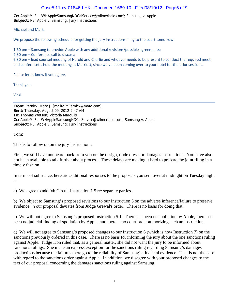#### Case5:11-cv-01846-LHK Document1669-10 Filed08/10/12 Page5 of 9

**Cc:** AppleMoFo; 'WHAppleSamsungNDCalService@wilmerhale.com'; Samsung v. Apple **Subject:** RE: Apple v. Samsung: Jury Instructions

Michael and Mark,

We propose the following schedule for getting the jury instructions filing to the court tomorrow:

1:30 pm – Samsung to provide Apple with any additional revisions/possible agreements;

2:30 pm – Conference call to discuss;

5:30 pm – lead counsel meeting of Harold and Charlie and whoever needs to be present to conduct the required meet and confer. Let's hold the meeting at Marriott, since we've been coming over to your hotel for the prior sessions.

Please let us know if you agree.

Thank you.

Vicki

**From:** Pernick, Marc J. [mailto:MPernick@mofo.com] **Sent:** Thursday, August 09, 2012 9:47 AM **To:** Thomas Watson; Victoria Maroulis **Cc:** AppleMoFo; WHAppleSamsungNDCalService@wilmerhale.com; Samsung v. Apple **Subject:** RE: Apple v. Samsung: Jury Instructions

Tom:

This is to follow up on the jury instructions.

First, we still have not heard back from you on the design, trade dress, or damages instructions. You have also not been available to talk further about process. These delays are making it hard to prepare the joint filing in a timely fashion.

In terms of substance, here are additional responses to the proposals you sent over at midnight on Tuesday night --

a) We agree to add 9th Circuit Instruction 1.5 re: separate parties.

b) We object to Samsung's proposed revisions to our Instruction 5 on the adverse inference/failure to preserve evidence. Your proposal deviates from Judge Grewal's order. There is no basis for doing that.

c) We will not agree to Samsung's proposed Instruction 5.1. There has been no spoliation by Apple, there has been no judicial finding of spoliation by Apple, and there is no court order authorizing such an instruction.

d) We will not agree to Samsung's proposed changes to our Instruction 6 (which is now Instruction 7) on the sanctions previously ordered in this case. There is no basis for informing the jury about the one sanctions ruling against Apple. Judge Koh ruled that, as a general matter, she did not want the jury to be informed about sanctions rulings. She made an express exception for the sanctions ruling regarding Samsung's damages productions because the failures there go to the reliability of Samsung's financial evidence. That is not the case with regard to the sanctions order against Apple. In addition, we disagree with your proposed changes to the text of our proposal concerning the damages sanctions ruling against Samsung.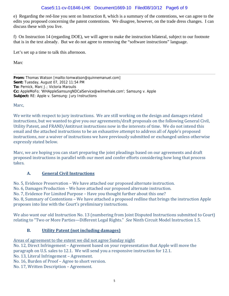## Case5:11-cv-01846-LHK Document1669-10 Filed08/10/12 Page6 of 9

e) Regarding the red-line you sent on Instruction 8, which is a summary of the contentions, we can agree to the edits you proposed concerning the patent contentions. We disagree, however, on the trade dress changes. I can discuss these with you live.

f) On Instruction 14 (regarding DOE), we will agree to make the instruction bilateral, subject to our footnote that is in the text already. But we do not agree to removing the "software instructions" language.

Let's set up a time to talk this afternoon.

Marc

**From:** Thomas Watson [mailto:tomwatson@quinnemanuel.com] **Sent:** Tuesday, August 07, 2012 11:54 PM **To:** Pernick, Marc J.; Victoria Maroulis **Cc:** AppleMoFo; 'WHAppleSamsungNDCalService@wilmerhale.com'; Samsung v. Apple **Subject:** RE: Apple v. Samsung: Jury Instructions

Marc, 

We write with respect to jury instructions. We are still working on the design and damages related instructions, but we wanted to give you our agreements/draft proposals on the following General Civil, Utility Patent, and FRAND/Antitrust instructions now in the interests of time. We do not intend this email and the attached instructions to be an exhaustive attempt to address all of Apple's proposed instructions, nor a waiver of instructions we have previously submitted or exchanged unless otherwise expressly stated below.

Marc, we are hoping you can start preparing the joint pleadings based on our agreements and draft proposed instructions in parallel with our meet and confer efforts considering how long that process takes. 

## **A. General Civil Instructions**

No. 5, Evidence Preservation – We have attached our proposed alternate instruction.

No. 6, Damages Production – We have attached our proposed alternate instruction.

No. 7, Evidence For Limited Purpose – Have you thought further about this one?

No. 8, Summary of Contentions – We have attached a proposed redline that brings the instruction Apple proposes into line with the Court's preliminary instructions.

We also want our old Instruction No. 13 (numbering from Joint Disputed Instructions submitted to Court) relating to "Two or More Parties—Different Legal Rights." See Ninth Circuit Model Instruction 1.5.

# **B. Utility Patent (not including damages)**

Areas of agreement to the extent we did not agree Sunday night

No. 12, Direct Infringement – Agreement based on your representation that Apple will move the paragraph on U.S. sales to 12.1. We will send you a responsive instruction for 12.1.

No. 13, Literal Infringement – Agreement.

No. 16, Burden of Proof – Agree to short version.

No. 17, Written Description - Agreement.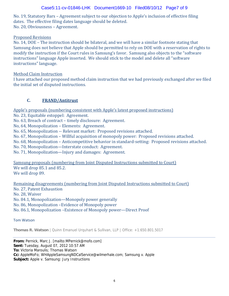### Case5:11-cv-01846-LHK Document1669-10 Filed08/10/12 Page7 of 9

No. 19, Statutory Bars – Agreement subject to our objection to Apple's inclusion of effective filing dates. The effective filing dates language should be deleted. No. 20, Obviousness - Agreement.

#### Proposed Revisions

No. 14,  $DOE$  – The instruction should be bilateral, and we will have a similar footnote stating that Samsung does not believe that Apple should be permitted to rely on DOE with a reservation of rights to modify the instruction if the Court rules in Samsung's favor. Samsung also objects to the "software" instructions" language Apple inserted. We should stick to the model and delete all "software instructions" language.

Method Claim Instruction

I have attached our proposed method claim instruction that we had previously exchanged after we filed the initial set of disputed instructions.

## **C. FRAND/Antitrust**

Apple's proposals (numbering consistent with Apple's latest proposed instructions)

- No. 23, Equitable estoppel: Agreement.
- No. 63, Breach of contract timely disclosure: Agreement.
- No, 64, Monopolization Elements: Agreement.
- No. 65, Monopolization -- Relevant market: Proposed revisions attached.
- No. 67, Monopolization Willful acquisition of monopoly power: Proposed revisions attached.
- No. 68, Monopolization Anticompetitive behavior in standard-setting: Proposed revisions attached.
- No. 70, Monopolization—Interstate conduct: Agreement.
- No. 71, Monopolization—Injury and damages: Agreement.

Samsung proposals (numbering from Joint Disputed Instructions submitted to Court) We will drop 85.1 and 85.2. We will drop 89.

Remaining disagreements (numbering from Joint Disputed Instructions submitted to Court)

No. 27, Patent Exhaustion

No. 28, Waiver

No. 84.1, Monopolization—Monopoly power generally

No. 86, Monopolization –Evidence of Monopoly power

No. 86.1, Monopolization – Existence of Monopoly power—Direct Proof

Tom Watson

**Thomas R. Watson** | Quinn Emanuel Urquhart & Sullivan, LLP | Office: +1.650.801.5017

**From:** Pernick, Marc J. [mailto:MPernick@mofo.com] **Sent:** Tuesday, August 07, 2012 10:57 AM **To:** Victoria Maroulis; Thomas Watson **Cc:** AppleMoFo; WHAppleSamsungNDCalService@wilmerhale.com; Samsung v. Apple **Subject:** Apple v. Samsung: Jury Instructions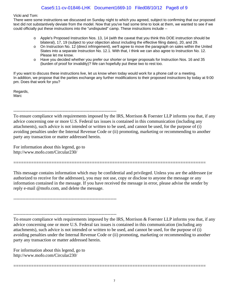Vicki and Tom:

There were some instructions we discussed on Sunday night to which you agreed, subject to confirming that our proposed text did not substantively deviate from the model. Now that you've had some time to look at them, we wanted to see if we could officially put these instructions into the "undisputed" camp. These instructions include --

- o Apple's Proposed Instruction Nos. 13, 14 (with the caveat that you think this DOE instruction should be bilateral), 17, 19 (subject to your objection about including the effective filing dates), 20, and 29.
- o On Instruction No. 12 (direct infringement), we'll agree to move the paragraph on sales within the United States into a separate Instruction No. 12.1. With that, I think we can also agree to Instruction No. 12. Please let me know.
- o Have you decided whether you prefer our shorter or longer proposals for Instruction Nos. 16 and 35 (burden of proof for invalidity)? We can hopefully put these two to rest too.

If you want to discuss these instructions live, let us know when today would work for a phone call or a meeting. In addition, we propose that the parties exchange any further modifications to their proposed instructions by today at 9:00 pm. Does that work for you?

Regards, **Marc** 

---------------------------------------------------------------------

To ensure compliance with requirements imposed by the IRS, Morrison & Foerster LLP informs you that, if any advice concerning one or more U.S. Federal tax issues is contained in this communication (including any attachments), such advice is not intended or written to be used, and cannot be used, for the purpose of (i) avoiding penalties under the Internal Revenue Code or (ii) promoting, marketing or recommending to another party any transaction or matter addressed herein.

For information about this legend, go to http://www.mofo.com/Circular230/

This message contains information which may be confidential and privileged. Unless you are the addressee (or authorized to receive for the addressee), you may not use, copy or disclose to anyone the message or any information contained in the message. If you have received the message in error, please advise the sender by reply e-mail @mofo.com, and delete the message.

============================================================================

---------------------------------------------------------------------

--------------------------------------------------------------------- To ensure compliance with requirements imposed by the IRS, Morrison & Foerster LLP informs you that, if any advice concerning one or more U.S. Federal tax issues is contained in this communication (including any attachments), such advice is not intended or written to be used, and cannot be used, for the purpose of (i) avoiding penalties under the Internal Revenue Code or (ii) promoting, marketing or recommending to another party any transaction or matter addressed herein.

For information about this legend, go to http://www.mofo.com/Circular230/

============================================================================